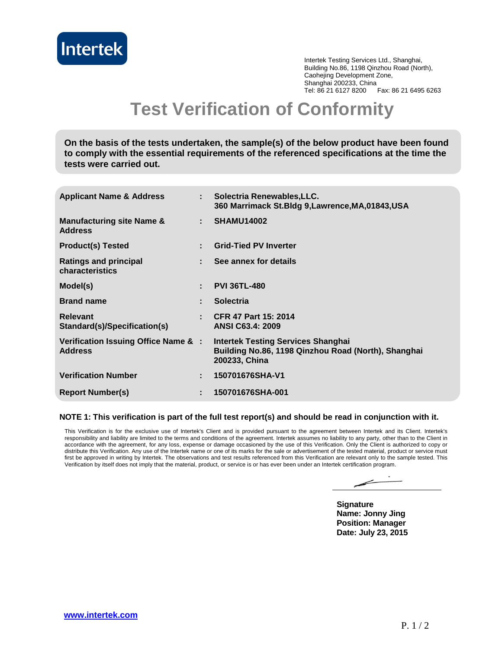

Intertek Testing Services Ltd., Shanghai, Building No.86, 1198 Qinzhou Road (North), Caohejing Development Zone, Shanghai 200233, China Tel: 86 21 6127 8200 Fax: 86 21 6495 6263

## **Test Verification of Conformity**

**On the basis of the tests undertaken, the sample(s) of the below product have been found to comply with the essential requirements of the referenced specifications at the time the tests were carried out.**

| <b>Applicant Name &amp; Address</b>                    | t in | Solectria Renewables, LLC.<br>360 Marrimack St. Bldg 9, Lawrence, MA, 01843, USA                                  |
|--------------------------------------------------------|------|-------------------------------------------------------------------------------------------------------------------|
| <b>Manufacturing site Name &amp;</b><br><b>Address</b> | t.   | <b>SHAMU14002</b>                                                                                                 |
| <b>Product(s) Tested</b>                               |      | <b>Grid-Tied PV Inverter</b>                                                                                      |
| Ratings and principal<br>characteristics               |      | See annex for details                                                                                             |
| Model(s)                                               | ÷.   | <b>PVI 36TL-480</b>                                                                                               |
| <b>Brand name</b>                                      | ÷.   | <b>Solectria</b>                                                                                                  |
| <b>Relevant</b><br>Standard(s)/Specification(s)        | ÷.   | <b>CFR 47 Part 15: 2014</b><br><b>ANSI C63.4: 2009</b>                                                            |
| Verification Issuing Office Name & :<br><b>Address</b> |      | <b>Intertek Testing Services Shanghai</b><br>Building No.86, 1198 Qinzhou Road (North), Shanghai<br>200233, China |
| <b>Verification Number</b>                             | ÷.   | 150701676SHA-V1                                                                                                   |
| <b>Report Number(s)</b>                                | ÷    | 150701676SHA-001                                                                                                  |

## **NOTE 1: This verification is part of the full test report(s) and should be read in conjunction with it.**

This Verification is for the exclusive use of Intertek's Client and is provided pursuant to the agreement between Intertek and its Client. Intertek's responsibility and liability are limited to the terms and conditions of the agreement. Intertek assumes no liability to any party, other than to the Client in accordance with the agreement, for any loss, expense or damage occasioned by the use of this Verification. Only the Client is authorized to copy or distribute this Verification. Any use of the Intertek name or one of its marks for the sale or advertisement of the tested material, product or service must first be approved in writing by Intertek. The observations and test results referenced from this Verification are relevant only to the sample tested. This Verification by itself does not imply that the material, product, or service is or has ever been under an Intertek certification program.

**Signature Name: Jonny Jing Position: Manager Date: July 23, 2015**